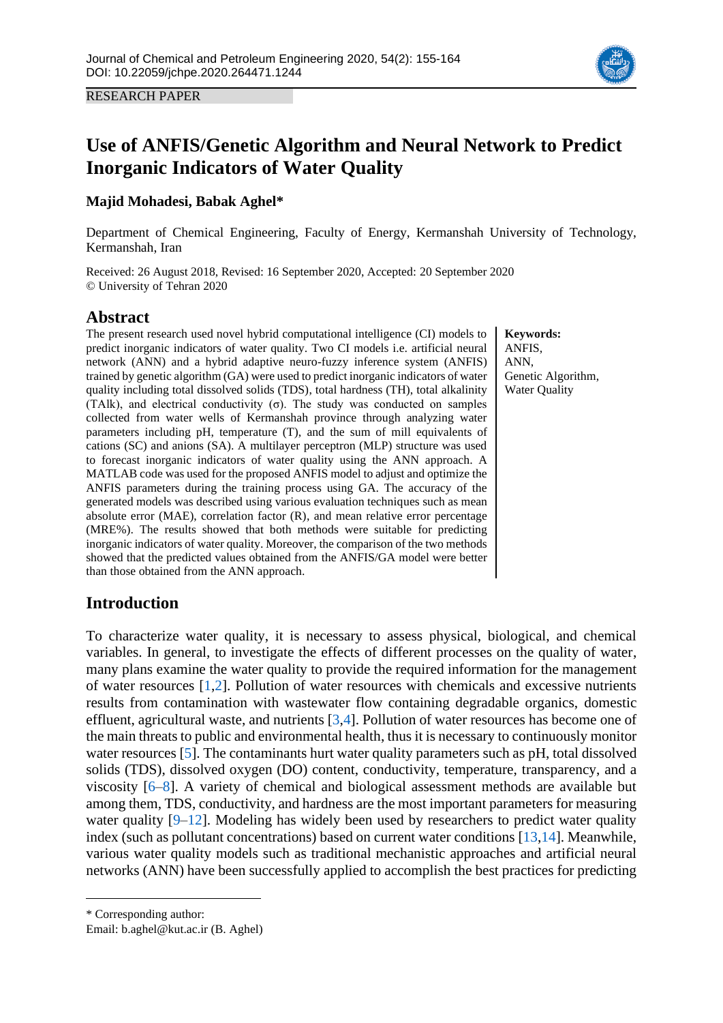

RESEARCH PAPER

# **Use of ANFIS/Genetic Algorithm and Neural Network to Predict Inorganic Indicators of Water Quality**

### **Majid Mohadesi, Babak Aghel\***

Department of Chemical Engineering, Faculty of Energy, Kermanshah University of Technology, Kermanshah, Iran

Received: 26 August 2018, Revised: 16 September 2020, Accepted: 20 September 2020 © University of Tehran 2020

### **Abstract**

The present research used novel hybrid computational intelligence (CI) models to predict inorganic indicators of water quality. Two CI models i.e. artificial neural network (ANN) and a hybrid adaptive neuro-fuzzy inference system (ANFIS) trained by genetic algorithm (GA) were used to predict inorganic indicators of water quality including total dissolved solids (TDS), total hardness (TH), total alkalinity (TAlk), and electrical conductivity  $(σ)$ . The study was conducted on samples collected from water wells of Kermanshah province through analyzing water parameters including pH, temperature (T), and the sum of mill equivalents of cations (SC) and anions (SA). A multilayer perceptron (MLP) structure was used to forecast inorganic indicators of water quality using the ANN approach. A MATLAB code was used for the proposed ANFIS model to adjust and optimize the ANFIS parameters during the training process using GA. The accuracy of the generated models was described using various evaluation techniques such as mean absolute error (MAE), correlation factor (R), and mean relative error percentage (MRE%). The results showed that both methods were suitable for predicting inorganic indicators of water quality. Moreover, the comparison of the two methods showed that the predicted values obtained from the ANFIS/GA model were better than those obtained from the ANN approach.

**Keywords:** ANFIS, ANN, Genetic Algorithm, Water Quality

# **Introduction**

To characterize water quality, it is necessary to assess physical, biological, and chemical variables. In general, to investigate the effects of different processes on the quality of water, many plans examine the water quality to provide the required information for the management of water resources [\[1](#page-8-0)[,2\]](#page-8-1). Pollution of water resources with chemicals and excessive nutrients results from contamination with wastewater flow containing degradable organics, domestic effluent, agricultural waste, and nutrients [\[3,](#page-8-2)[4\]](#page-8-3). Pollution of water resources has become one of the main threats to public and environmental health, thus it is necessary to continuously monitor water resources [\[5\]](#page-8-4). The contaminants hurt water quality parameters such as pH, total dissolved solids (TDS), dissolved oxygen (DO) content, conductivity, temperature, transparency, and a viscosity [\[6](#page-8-5)[–8\]](#page-8-6). A variety of chemical and biological assessment methods are available but among them, TDS, conductivity, and hardness are the most important parameters for measuring water quality [\[9](#page-8-7)[–12\]](#page-8-8). Modeling has widely been used by researchers to predict water quality index (such as pollutant concentrations) based on current water conditions [\[13,](#page-9-0)[14\]](#page-9-1). Meanwhile, various water quality models such as traditional mechanistic approaches and artificial neural networks (ANN) have been successfully applied to accomplish the best practices for predicting

\* Corresponding author:

Email: b.aghel@kut.ac.ir (B. Aghel)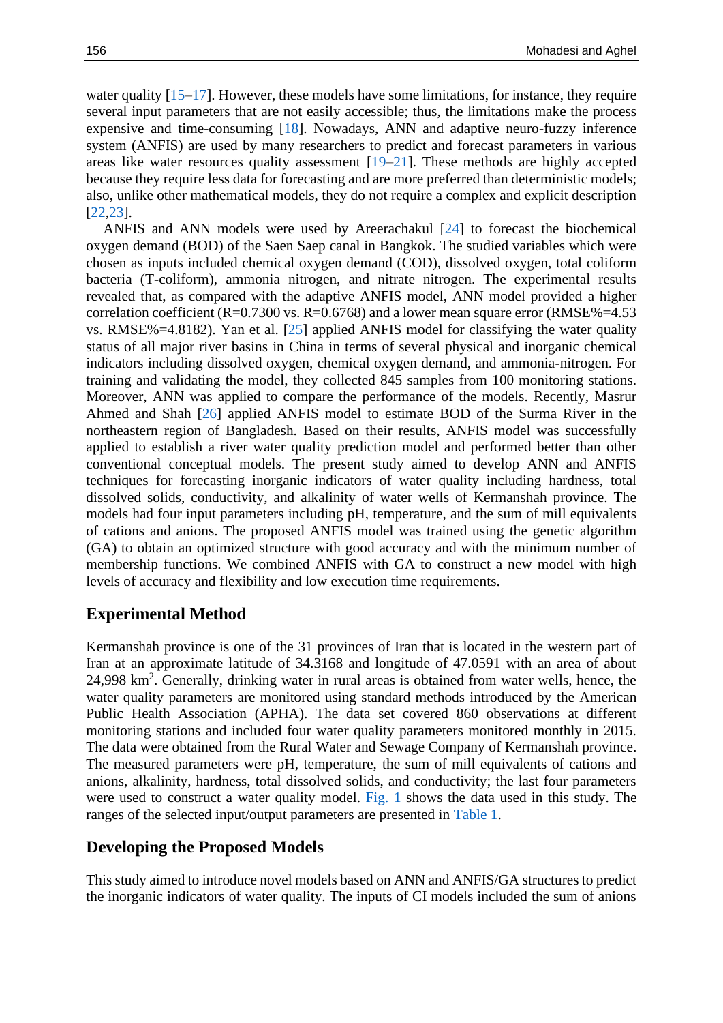water quality  $[15-17]$  $[15-17]$ . However, these models have some limitations, for instance, they require several input parameters that are not easily accessible; thus, the limitations make the process expensive and time-consuming [\[18\]](#page-9-4). Nowadays, ANN and adaptive neuro-fuzzy inference system (ANFIS) are used by many researchers to predict and forecast parameters in various areas like water resources quality assessment  $[19-21]$  $[19-21]$ . These methods are highly accepted because they require less data for forecasting and are more preferred than deterministic models; also, unlike other mathematical models, they do not require a complex and explicit description [\[22,](#page-9-7)[23\]](#page-9-8).

ANFIS and ANN models were used by Areerachakul [\[24\]](#page-9-9) to forecast the biochemical oxygen demand (BOD) of the Saen Saep canal in Bangkok. The studied variables which were chosen as inputs included chemical oxygen demand (COD), dissolved oxygen, total coliform bacteria (T-coliform), ammonia nitrogen, and nitrate nitrogen. The experimental results revealed that, as compared with the adaptive ANFIS model, ANN model provided a higher correlation coefficient  $(R=0.7300 \text{ vs. } R=0.6768)$  and a lower mean square error  $(RMSE\% = 4.53$ vs. RMSE%=4.8182). Yan et al. [\[25\]](#page-9-10) applied ANFIS model for classifying the water quality status of all major river basins in China in terms of several physical and inorganic chemical indicators including dissolved oxygen, chemical oxygen demand, and ammonia-nitrogen. For training and validating the model, they collected 845 samples from 100 monitoring stations. Moreover, ANN was applied to compare the performance of the models. Recently, Masrur Ahmed and Shah [\[26\]](#page-9-11) applied ANFIS model to estimate BOD of the Surma River in the northeastern region of Bangladesh. Based on their results, ANFIS model was successfully applied to establish a river water quality prediction model and performed better than other conventional conceptual models. The present study aimed to develop ANN and ANFIS techniques for forecasting inorganic indicators of water quality including hardness, total dissolved solids, conductivity, and alkalinity of water wells of Kermanshah province. The models had four input parameters including pH, temperature, and the sum of mill equivalents of cations and anions. The proposed ANFIS model was trained using the genetic algorithm (GA) to obtain an optimized structure with good accuracy and with the minimum number of membership functions. We combined ANFIS with GA to construct a new model with high levels of accuracy and flexibility and low execution time requirements.

### **Experimental Method**

Kermanshah province is one of the 31 provinces of Iran that is located in the western part of Iran at an approximate latitude of 34.3168 and longitude of 47.0591 with an area of about 24,998 km<sup>2</sup>. Generally, drinking water in rural areas is obtained from water wells, hence, the water quality parameters are monitored using standard methods introduced by the American Public Health Association (APHA). The data set covered 860 observations at different monitoring stations and included four water quality parameters monitored monthly in 2015. The data were obtained from the Rural Water and Sewage Company of Kermanshah province. The measured parameters were pH, temperature, the sum of mill equivalents of cations and anions, alkalinity, hardness, total dissolved solids, and conductivity; the last four parameters were used to construct a water quality model. [Fig.](#page-2-0) 1 shows the data used in this study. The ranges of the selected input/output parameters are presented in [Table 1.](#page-2-1)

# **Developing the Proposed Models**

This study aimed to introduce novel models based on ANN and ANFIS/GA structures to predict the inorganic indicators of water quality. The inputs of CI models included the sum of anions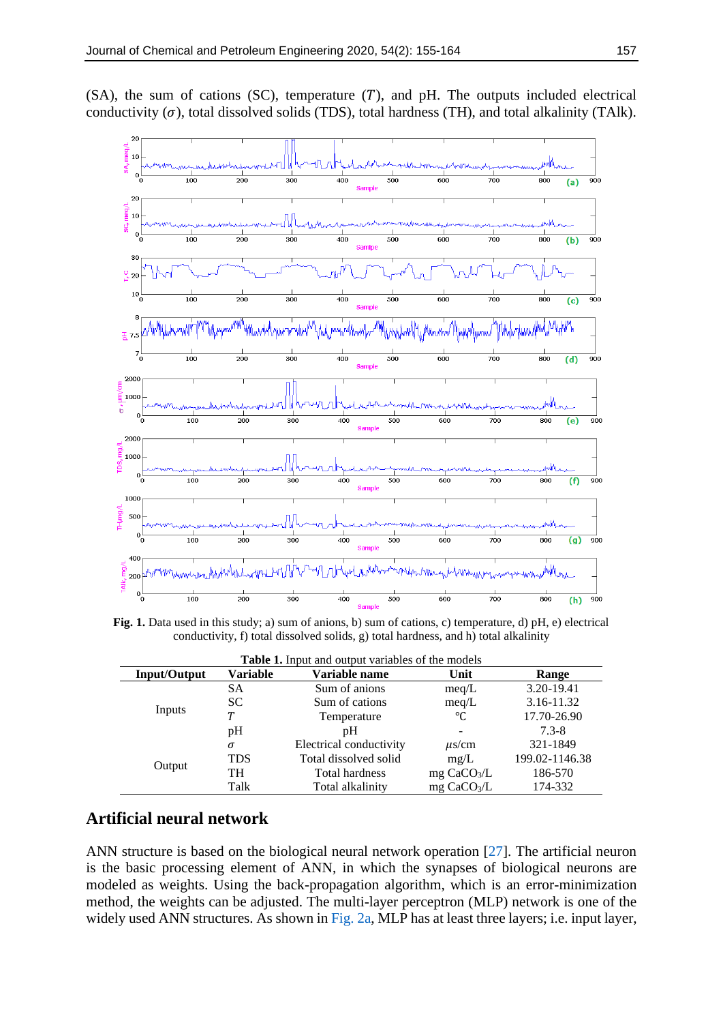$(SA)$ , the sum of cations  $(SC)$ , temperature  $(T)$ , and pH. The outputs included electrical conductivity  $(\sigma)$ , total dissolved solids (TDS), total hardness (TH), and total alkalinity (TAlk).

<span id="page-2-0"></span>

**Fig. 1.** Data used in this study; a) sum of anions, b) sum of cations, c) temperature, d) pH, e) electrical conductivity, f) total dissolved solids, g) total hardness, and h) total alkalinity

<span id="page-2-1"></span>

| <b>Table 1.</b> Input and output variables of the models |                 |                         |                           |                |  |  |  |
|----------------------------------------------------------|-----------------|-------------------------|---------------------------|----------------|--|--|--|
| <b>Input/Output</b>                                      | <b>Variable</b> | Variable name           | Unit                      | Range          |  |  |  |
| Inputs                                                   | SА              | Sum of anions           | meq/L                     | 3.20-19.41     |  |  |  |
|                                                          | SC.             | Sum of cations          | meq/L                     | 3.16-11.32     |  |  |  |
|                                                          | Т               | Temperature             | °C                        | 17.70-26.90    |  |  |  |
|                                                          | pH              | pΗ                      |                           | $7.3 - 8$      |  |  |  |
| Output                                                   | σ               | Electrical conductivity | $\mu$ s/cm                | 321-1849       |  |  |  |
|                                                          | <b>TDS</b>      | Total dissolved solid   | mg/L                      | 199.02-1146.38 |  |  |  |
|                                                          | TH              | Total hardness          | $mg$ CaCO <sub>3</sub> /L | 186-570        |  |  |  |
|                                                          | Talk            | Total alkalinity        | mg $CaCO3/L$              | 174-332        |  |  |  |

### **Artificial neural network**

ANN structure is based on the biological neural network operation [\[27\]](#page-9-12). The artificial neuron is the basic processing element of ANN, in which the synapses of biological neurons are modeled as weights. Using the back-propagation algorithm, which is an error-minimization method, the weights can be adjusted. The multi-layer perceptron (MLP) network is one of the widely used ANN structures. As shown i[n Fig.](#page-3-0) 2a, MLP has at least three layers; i.e. input layer,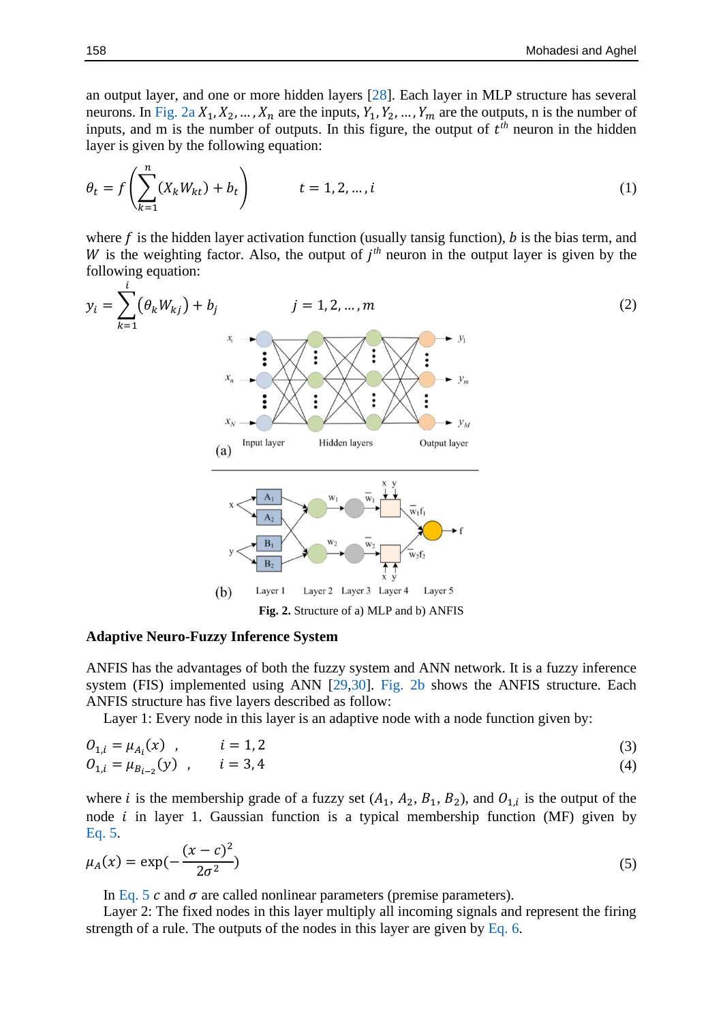an output layer, and one or more hidden layers [\[28\]](#page-9-13). Each layer in MLP structure has several neurons. In [Fig.](#page-3-0) 2a  $X_1, X_2, ..., X_n$  are the inputs,  $Y_1, Y_2, ..., Y_m$  are the outputs, n is the number of inputs, and m is the number of outputs. In this figure, the output of  $t<sup>th</sup>$  neuron in the hidden layer is given by the following equation:

$$
\theta_t = f\left(\sum_{k=1}^n (X_k W_{kt}) + b_t\right) \qquad t = 1, 2, ..., i
$$
 (1)

where  $f$  is the hidden layer activation function (usually tansig function),  $b$  is the bias term, and W is the weighting factor. Also, the output of  $j<sup>th</sup>$  neuron in the output layer is given by the following equation:

<span id="page-3-0"></span>
$$
y_{i} = \sum_{k=1}^{n} (\theta_{k}W_{kj}) + b_{j}
$$
\n
$$
y_{n}
$$
\n
$$
y_{n}
$$
\n
$$
y_{n}
$$
\n
$$
y_{n}
$$
\n
$$
y_{n}
$$
\n
$$
y_{n}
$$
\n
$$
y_{n}
$$
\n
$$
y_{n}
$$
\n
$$
y_{n}
$$
\n
$$
y_{n}
$$
\n
$$
y_{n}
$$
\n
$$
y_{n}
$$
\n
$$
y_{n}
$$
\n
$$
y_{n}
$$
\n
$$
y_{n}
$$
\n
$$
y_{n}
$$
\n
$$
y_{n}
$$
\n
$$
y_{n}
$$
\n
$$
y_{n}
$$
\n
$$
y_{n}
$$
\n
$$
y_{n}
$$
\n
$$
y_{n}
$$
\n
$$
y_{n}
$$
\n
$$
y_{n}
$$
\n
$$
y_{n}
$$
\n
$$
y_{n}
$$
\n
$$
y_{n}
$$
\n
$$
y_{n}
$$
\n
$$
y_{n}
$$
\n
$$
y_{n}
$$
\n
$$
y_{n}
$$
\n
$$
y_{n}
$$
\n
$$
y_{n}
$$
\n
$$
y_{n}
$$
\n
$$
y_{n}
$$
\n
$$
y_{n}
$$
\n
$$
y_{n}
$$
\n
$$
y_{n}
$$
\n
$$
y_{n}
$$
\n
$$
y_{n}
$$
\n
$$
y_{n}
$$
\n
$$
y_{n}
$$
\n
$$
y_{n}
$$
\n
$$
y_{n}
$$
\n
$$
y_{n}
$$
\n
$$
y_{n}
$$
\n
$$
y_{n}
$$
\n
$$
y_{n}
$$
\n
$$
y_{n}
$$
\n
$$
y_{n}
$$
\n
$$
y_{n}
$$
\n
$$
y_{n}
$$
\n
$$
y_{n}
$$
\n
$$
y_{n}
$$
\n
$$
y_{n}
$$
\n
$$
y_{n}
$$
\

#### **Adaptive Neuro-Fuzzy Inference System**

ANFIS has the advantages of both the fuzzy system and ANN network. It is a fuzzy inference system (FIS) implemented using ANN [\[29,](#page-9-14)[30\]](#page-9-15). [Fig.](#page-3-0) 2b shows the ANFIS structure. Each ANFIS structure has five layers described as follow:

Layer 1: Every node in this layer is an adaptive node with a node function given by:

$$
O_{1,i} = \mu_{A_i}(x) , \qquad i = 1, 2 O_{1,i} = \mu_{B_{i-2}}(y) , \qquad i = 3, 4
$$
 (3)

where *i* is the membership grade of a fuzzy set  $(A_1, A_2, B_1, B_2)$ , and  $O_{1,i}$  is the output of the node  $i$  in layer 1. Gaussian function is a typical membership function (MF) given by [Eq. 5.](#page-3-1)

$$
\mu_A(x) = \exp(-\frac{(x-c)^2}{2\sigma^2})
$$
\n(5)

<span id="page-3-1"></span>In [Eq.](#page-3-1) 5 c and  $\sigma$  are called nonlinear parameters (premise parameters).

Layer 2: The fixed nodes in this layer multiply all incoming signals and represent the firing strength of a rule. The outputs of the nodes in this layer are given by [Eq. 6.](#page-4-0)

 $\dot{i}$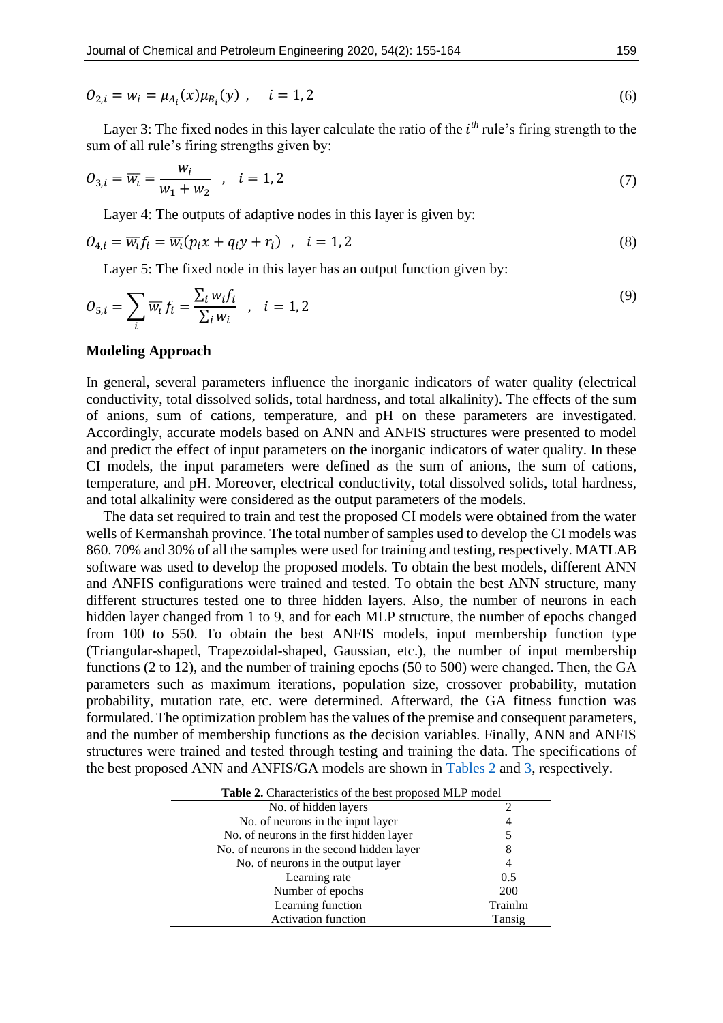$$
O_{2,i} = w_i = \mu_{A_i}(x)\mu_{B_i}(y) \quad i = 1, 2
$$
\n<sup>(6)</sup>

Layer 3: The fixed nodes in this layer calculate the ratio of the  $i<sup>th</sup>$  rule's firing strength to the sum of all rule's firing strengths given by:

$$
O_{3,i} = \overline{w_i} = \frac{w_i}{w_1 + w_2} \quad , \quad i = 1, 2
$$
 (7)

<span id="page-4-0"></span>Layer 4: The outputs of adaptive nodes in this layer is given by:

$$
O_{4,i} = \overline{w_i} f_i = \overline{w_i} (p_i x + q_i y + r_i) \quad , \quad i = 1, 2
$$

Layer 5: The fixed node in this layer has an output function given by:

$$
O_{5,i} = \sum_{i} \overline{w_i} f_i = \frac{\sum_{i} w_i f_i}{\sum_{i} w_i} , \quad i = 1, 2
$$
\n<sup>(9)</sup>

#### **Modeling Approach**

In general, several parameters influence the inorganic indicators of water quality (electrical conductivity, total dissolved solids, total hardness, and total alkalinity). The effects of the sum of anions, sum of cations, temperature, and pH on these parameters are investigated. Accordingly, accurate models based on ANN and ANFIS structures were presented to model and predict the effect of input parameters on the inorganic indicators of water quality. In these CI models, the input parameters were defined as the sum of anions, the sum of cations, temperature, and pH. Moreover, electrical conductivity, total dissolved solids, total hardness, and total alkalinity were considered as the output parameters of the models.

The data set required to train and test the proposed CI models were obtained from the water wells of Kermanshah province. The total number of samples used to develop the CI models was 860. 70% and 30% of all the samples were used for training and testing, respectively. MATLAB software was used to develop the proposed models. To obtain the best models, different ANN and ANFIS configurations were trained and tested. To obtain the best ANN structure, many different structures tested one to three hidden layers. Also, the number of neurons in each hidden layer changed from 1 to 9, and for each MLP structure, the number of epochs changed from 100 to 550. To obtain the best ANFIS models, input membership function type (Triangular-shaped, Trapezoidal-shaped, Gaussian, etc.), the number of input membership functions (2 to 12), and the number of training epochs (50 to 500) were changed. Then, the GA parameters such as maximum iterations, population size, crossover probability, mutation probability, mutation rate, etc. were determined. Afterward, the GA fitness function was formulated. The optimization problem has the values of the premise and consequent parameters, and the number of membership functions as the decision variables. Finally, ANN and ANFIS structures were trained and tested through testing and training the data. The specifications of the best proposed ANN and ANFIS/GA models are shown in [Tables](#page-4-1) 2 and [3,](#page-5-0) respectively.

<span id="page-4-1"></span>

| Table 2. Characteristics of the best proposed MLP model |            |  |  |  |
|---------------------------------------------------------|------------|--|--|--|
| No. of hidden layers                                    |            |  |  |  |
| No. of neurons in the input layer                       | 4          |  |  |  |
| No. of neurons in the first hidden layer                | 5          |  |  |  |
| No. of neurons in the second hidden layer               | 8          |  |  |  |
| No. of neurons in the output layer                      | 4          |  |  |  |
| Learning rate                                           | 0.5        |  |  |  |
| Number of epochs                                        | <b>200</b> |  |  |  |
| Learning function                                       | Trainlm    |  |  |  |
| <b>Activation function</b>                              | Tansig     |  |  |  |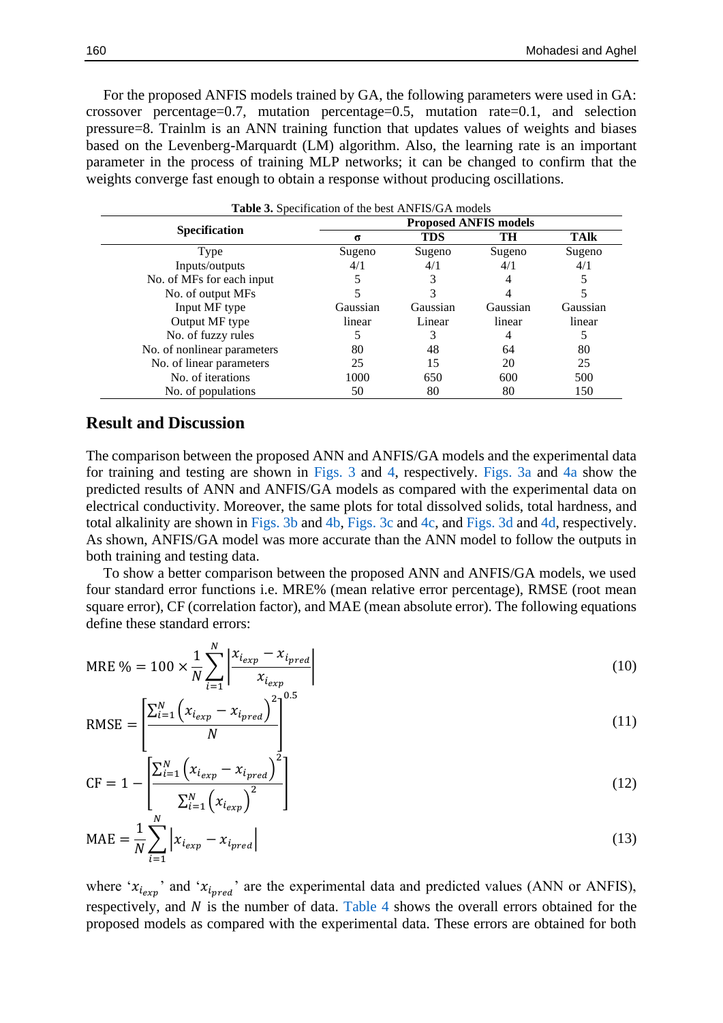For the proposed ANFIS models trained by GA, the following parameters were used in GA: crossover percentage=0.7, mutation percentage=0.5, mutation rate=0.1, and selection pressure=8. Trainlm is an ANN training function that updates values of weights and biases based on the Levenberg-Marquardt (LM) algorithm. Also, the learning rate is an important parameter in the process of training MLP networks; it can be changed to confirm that the weights converge fast enough to obtain a response without producing oscillations.

<span id="page-5-0"></span>

| <b>Table 3.</b> Specification of the best ANFIS/GA models |                              |            |          |          |  |  |
|-----------------------------------------------------------|------------------------------|------------|----------|----------|--|--|
|                                                           | <b>Proposed ANFIS models</b> |            |          |          |  |  |
| <b>Specification</b>                                      | σ                            | <b>TDS</b> | TH       | TAlk     |  |  |
| Type                                                      | Sugeno                       | Sugeno     | Sugeno   | Sugeno   |  |  |
| Inputs/outputs                                            | 4/1                          | 4/1        | 4/1      | 4/1      |  |  |
| No. of MFs for each input                                 |                              |            | 4        |          |  |  |
| No. of output MFs                                         |                              |            |          |          |  |  |
| Input MF type                                             | Gaussian                     | Gaussian   | Gaussian | Gaussian |  |  |
| Output MF type                                            | linear                       | Linear     | linear   | linear   |  |  |
| No. of fuzzy rules                                        |                              |            | 4        |          |  |  |
| No. of nonlinear parameters                               | 80                           | 48         | 64       | 80       |  |  |
| No. of linear parameters                                  | 25                           | 15         | 20       | 25       |  |  |
| No. of iterations                                         | 1000                         | 650        | 600      | 500      |  |  |
| No. of populations                                        | 50                           | 80         | 80       | 150      |  |  |

### **Result and Discussion**

The comparison between the proposed ANN and ANFIS/GA models and the experimental data for training and testing are shown in [Figs.](#page-6-0) 3 and [4,](#page-6-1) respectively. [Figs.](#page-6-0) 3a and [4a](#page-6-1) show the predicted results of ANN and ANFIS/GA models as compared with the experimental data on electrical conductivity. Moreover, the same plots for total dissolved solids, total hardness, and total alkalinity are shown in [Figs.](#page-6-0) 3b and [4b,](#page-6-1) [Figs.](#page-6-0) 3c and [4c,](#page-6-1) and [Figs.](#page-6-0) 3d and [4d,](#page-6-1) respectively. As shown, ANFIS/GA model was more accurate than the ANN model to follow the outputs in both training and testing data.

To show a better comparison between the proposed ANN and ANFIS/GA models, we used four standard error functions i.e. MRE% (mean relative error percentage), RMSE (root mean square error), CF (correlation factor), and MAE (mean absolute error). The following equations define these standard errors:

MRE % = 100 
$$
\times \frac{1}{N} \sum_{i=1}^{N} \left| \frac{x_{i_{exp}} - x_{i_{pred}}}{x_{i_{exp}}} \right|
$$
 (10)

RMSE = 
$$
\left[ \frac{\sum_{i=1}^{N} (x_{i_{exp}} - x_{i_{pred}})^{2}}{N} \right]^{0.5}
$$
 (11)

$$
CF = 1 - \left[ \frac{\sum_{i=1}^{N} \left( x_{i_{exp}} - x_{i_{pred}} \right)^2}{\sum_{i=1}^{N} \left( x_{i_{exp}} \right)^2} \right]
$$
(12)

$$
MAE = \frac{1}{N} \sum_{i=1}^{N} \left| x_{i_{exp}} - x_{i_{pred}} \right|
$$
\n(13)

where ' $x_{i_{exp}}$ ' and ' $x_{i_{pred}}$ ' are the experimental data and predicted values (ANN or ANFIS), respectively, and  $N$  is the number of data. [Table 4](#page-7-0) shows the overall errors obtained for the proposed models as compared with the experimental data. These errors are obtained for both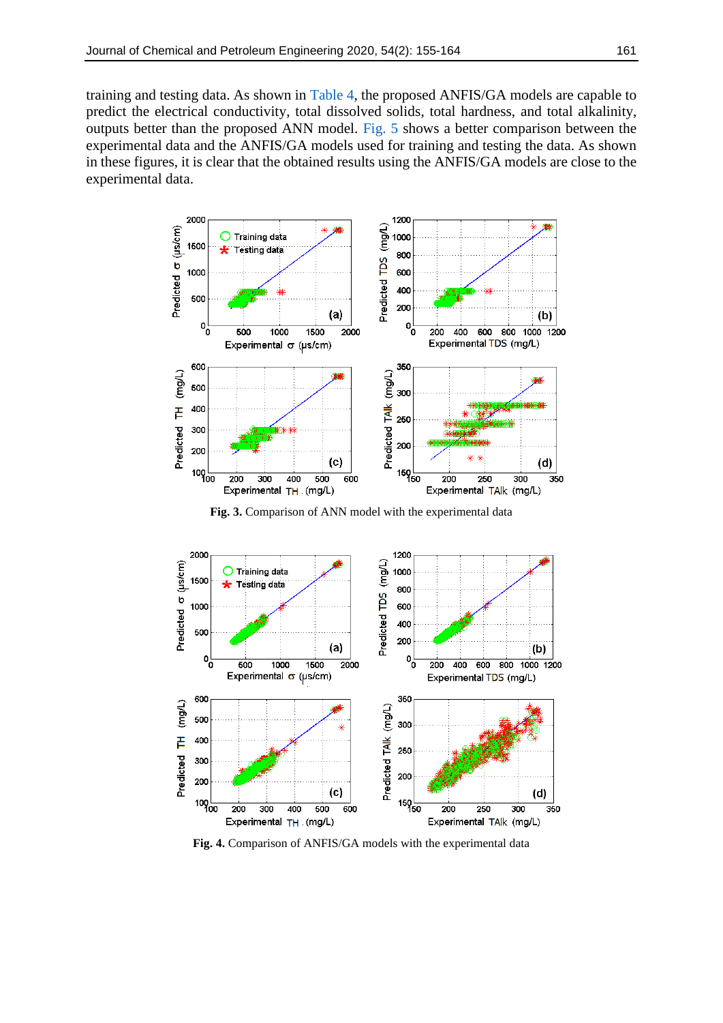training and testing data. As shown in [Table 4,](#page-7-0) the proposed ANFIS/GA models are capable to predict the electrical conductivity, total dissolved solids, total hardness, and total alkalinity, outputs better than the proposed ANN model. [Fig. 5](#page-7-1) shows a better comparison between the experimental data and the ANFIS/GA models used for training and testing the data. As shown in these figures, it is clear that the obtained results using the ANFIS/GA models are close to the experimental data.

<span id="page-6-0"></span>

**Fig. 3.** Comparison of ANN model with the experimental data

<span id="page-6-1"></span>

**Fig. 4.** Comparison of ANFIS/GA models with the experimental data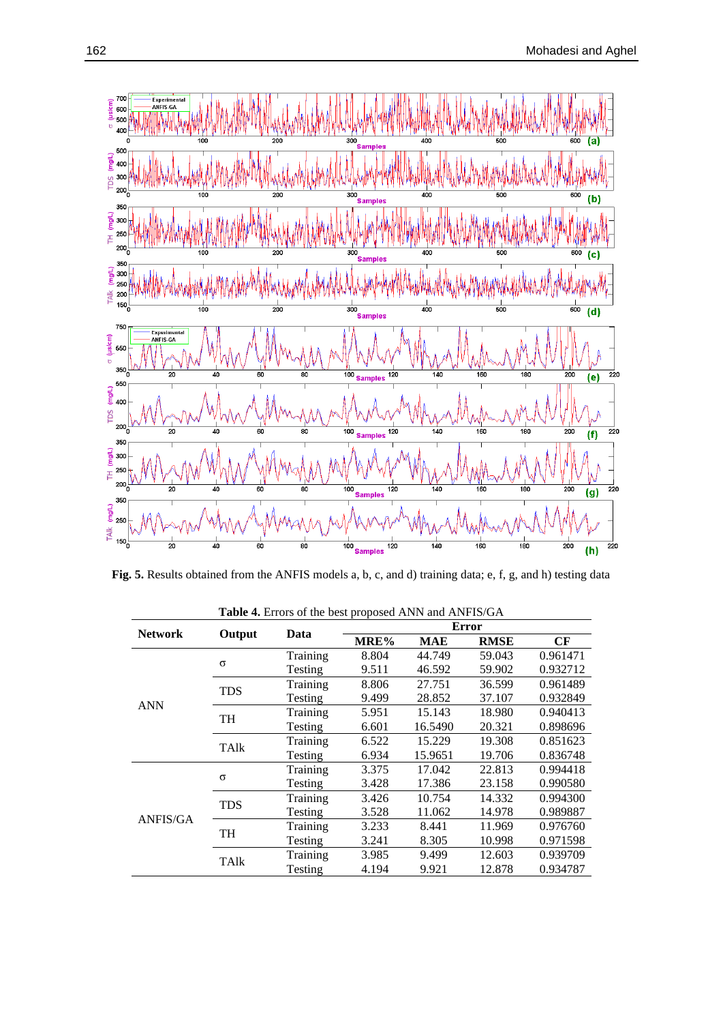<span id="page-7-1"></span>

**Fig. 5.** Results obtained from the ANFIS models a, b, c, and d) training data; e, f, g, and h) testing data

<span id="page-7-0"></span>

| <b>Network</b> | Output      |          | <b>Error</b> |            |             |          |
|----------------|-------------|----------|--------------|------------|-------------|----------|
|                |             | Data     | MRE%         | <b>MAE</b> | <b>RMSE</b> | CF       |
| <b>ANN</b>     |             | Training | 8.804        | 44.749     | 59.043      | 0.961471 |
|                | $\sigma$    | Testing  | 9.511        | 46.592     | 59.902      | 0.932712 |
|                | <b>TDS</b>  | Training | 8.806        | 27.751     | 36.599      | 0.961489 |
|                |             | Testing  | 9.499        | 28.852     | 37.107      | 0.932849 |
|                | <b>TH</b>   | Training | 5.951        | 15.143     | 18.980      | 0.940413 |
|                |             | Testing  | 6.601        | 16.5490    | 20.321      | 0.898696 |
|                | TAlk        | Training | 6.522        | 15.229     | 19.308      | 0.851623 |
|                |             | Testing  | 6.934        | 15.9651    | 19.706      | 0.836748 |
| ANFIS/GA       |             | Training | 3.375        | 17.042     | 22.813      | 0.994418 |
|                | $\sigma$    | Testing  | 3.428        | 17.386     | 23.158      | 0.990580 |
|                | <b>TDS</b>  | Training | 3.426        | 10.754     | 14.332      | 0.994300 |
|                |             | Testing  | 3.528        | 11.062     | 14.978      | 0.989887 |
|                | <b>TH</b>   | Training | 3.233        | 8.441      | 11.969      | 0.976760 |
|                |             | Testing  | 3.241        | 8.305      | 10.998      | 0.971598 |
|                | <b>TAlk</b> | Training | 3.985        | 9.499      | 12.603      | 0.939709 |
|                |             | Testing  | 4.194        | 9.921      | 12.878      | 0.934787 |

**Table 4.** Errors of the best proposed ANN and ANFIS/GA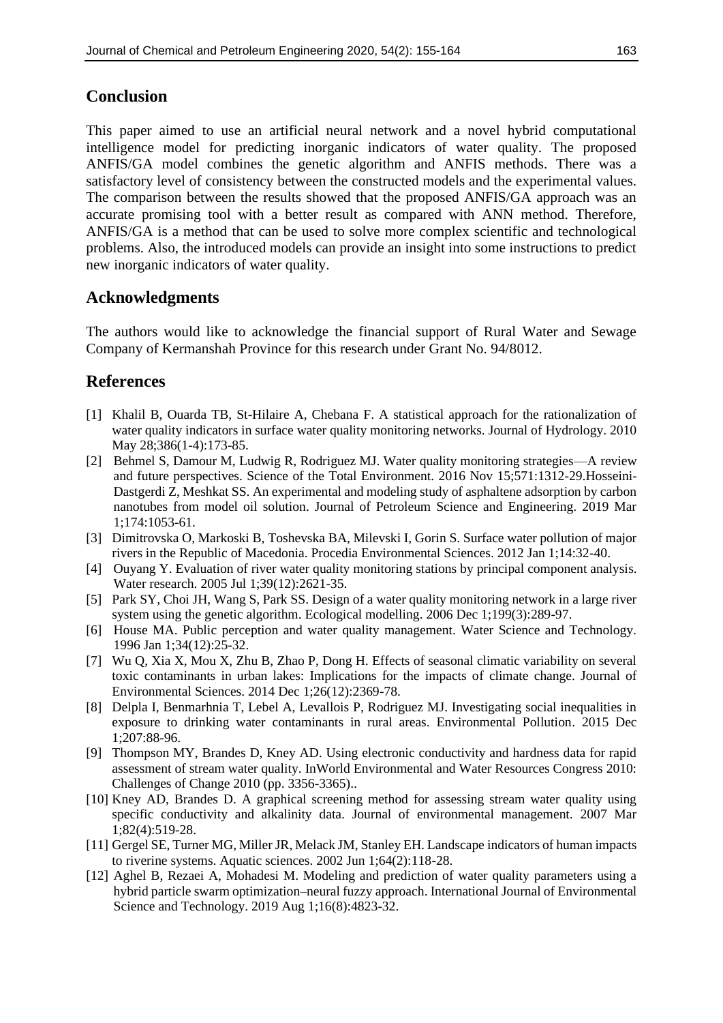# **Conclusion**

This paper aimed to use an artificial neural network and a novel hybrid computational intelligence model for predicting inorganic indicators of water quality. The proposed ANFIS/GA model combines the genetic algorithm and ANFIS methods. There was a satisfactory level of consistency between the constructed models and the experimental values. The comparison between the results showed that the proposed ANFIS/GA approach was an accurate promising tool with a better result as compared with ANN method. Therefore, ANFIS/GA is a method that can be used to solve more complex scientific and technological problems. Also, the introduced models can provide an insight into some instructions to predict new inorganic indicators of water quality.

# **Acknowledgments**

The authors would like to acknowledge the financial support of Rural Water and Sewage Company of Kermanshah Province for this research under Grant No. 94/8012.

# **References**

- <span id="page-8-0"></span>[1] Khalil B, Ouarda TB, St-Hilaire A, Chebana F. A statistical approach for the rationalization of water quality indicators in surface water quality monitoring networks. Journal of Hydrology. 2010 May 28;386(1-4):173-85.
- <span id="page-8-1"></span>[2] Behmel S, Damour M, Ludwig R, Rodriguez MJ. Water quality monitoring strategies—A review and future perspectives. Science of the Total Environment. 2016 Nov 15;571:1312-29.Hosseini-Dastgerdi Z, Meshkat SS. An experimental and modeling study of asphaltene adsorption by carbon nanotubes from model oil solution. Journal of Petroleum Science and Engineering. 2019 Mar 1;174:1053-61.
- <span id="page-8-2"></span>[3] Dimitrovska O, Markoski B, Toshevska BA, Milevski I, Gorin S. Surface water pollution of major rivers in the Republic of Macedonia. Procedia Environmental Sciences. 2012 Jan 1;14:32-40.
- <span id="page-8-3"></span>[4] Ouyang Y. Evaluation of river water quality monitoring stations by principal component analysis. Water research. 2005 Jul 1;39(12):2621-35.
- <span id="page-8-4"></span>[5] Park SY, Choi JH, Wang S, Park SS. Design of a water quality monitoring network in a large river system using the genetic algorithm. Ecological modelling. 2006 Dec 1;199(3):289-97.
- <span id="page-8-5"></span>[6] House MA. Public perception and water quality management. Water Science and Technology. 1996 Jan 1;34(12):25-32.
- [7] Wu Q, Xia X, Mou X, Zhu B, Zhao P, Dong H. Effects of seasonal climatic variability on several toxic contaminants in urban lakes: Implications for the impacts of climate change. Journal of Environmental Sciences. 2014 Dec 1;26(12):2369-78.
- <span id="page-8-6"></span>[8] Delpla I, Benmarhnia T, Lebel A, Levallois P, Rodriguez MJ. Investigating social inequalities in exposure to drinking water contaminants in rural areas. Environmental Pollution. 2015 Dec 1;207:88-96.
- <span id="page-8-7"></span>[9] Thompson MY, Brandes D, Kney AD. Using electronic conductivity and hardness data for rapid assessment of stream water quality. InWorld Environmental and Water Resources Congress 2010: Challenges of Change 2010 (pp. 3356-3365)..
- [10] Kney AD, Brandes D. A graphical screening method for assessing stream water quality using specific conductivity and alkalinity data. Journal of environmental management. 2007 Mar 1;82(4):519-28.
- [11] Gergel SE, Turner MG, Miller JR, Melack JM, Stanley EH. Landscape indicators of human impacts to riverine systems. Aquatic sciences. 2002 Jun 1;64(2):118-28.
- <span id="page-8-8"></span>[12] Aghel B, Rezaei A, Mohadesi M. Modeling and prediction of water quality parameters using a hybrid particle swarm optimization–neural fuzzy approach. International Journal of Environmental Science and Technology. 2019 Aug 1;16(8):4823-32.